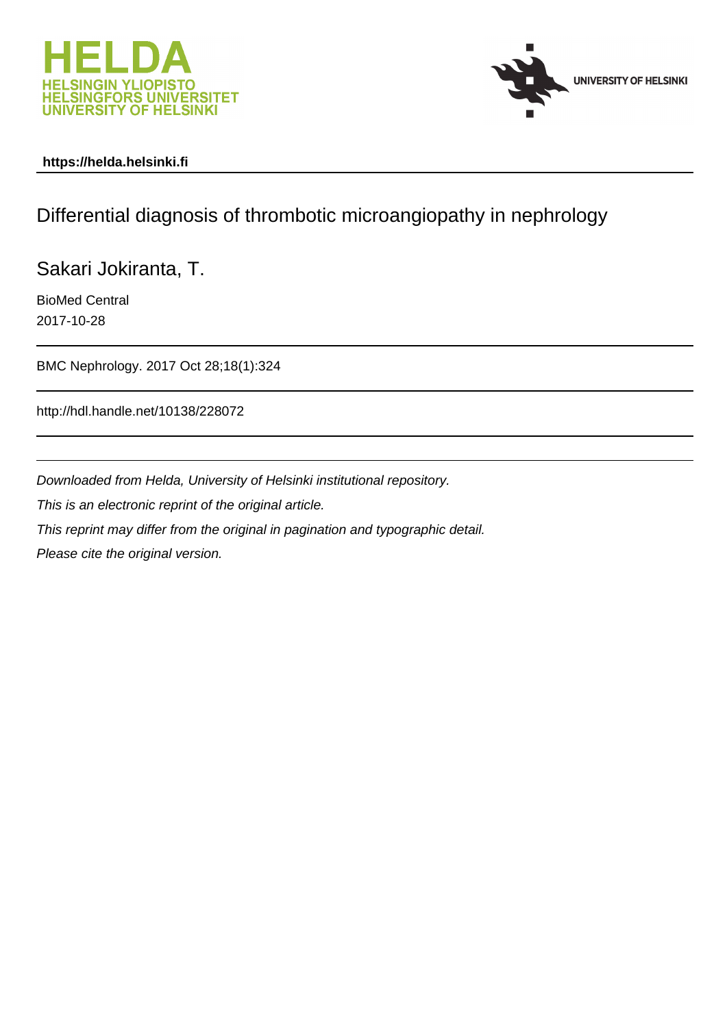



# **https://helda.helsinki.fi**

# Differential diagnosis of thrombotic microangiopathy in nephrology

Sakari Jokiranta, T.

BioMed Central 2017-10-28

BMC Nephrology. 2017 Oct 28;18(1):324

http://hdl.handle.net/10138/228072

Downloaded from Helda, University of Helsinki institutional repository.

This is an electronic reprint of the original article.

This reprint may differ from the original in pagination and typographic detail.

Please cite the original version.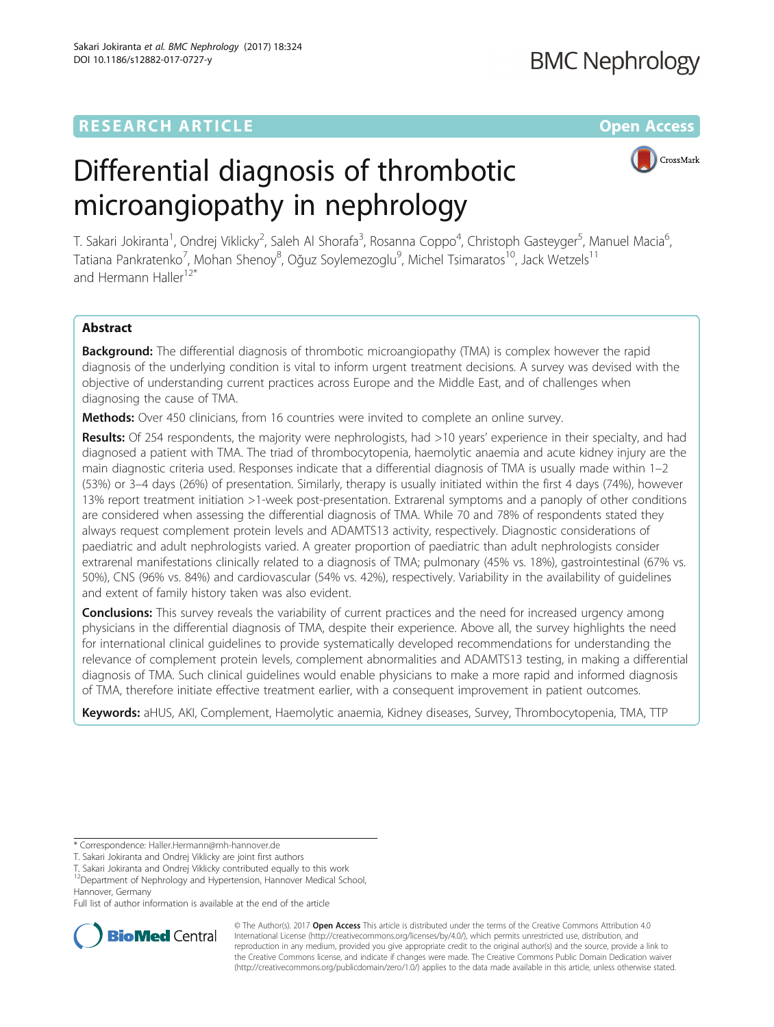# **RESEARCH ARTICLE External Structure Community Community Community Community Community Community Community Community**

# Differential diagnosis of thrombotic microangiopathy in nephrology



T. Sakari Jokiranta<sup>1</sup>, Ondrej Viklicky<sup>2</sup>, Saleh Al Shorafa<sup>3</sup>, Rosanna Coppo<sup>4</sup>, Christoph Gasteyger<sup>5</sup>, Manuel Macia<sup>6</sup> , Tatiana Pankratenko<sup>7</sup>, Mohan Shenoy<sup>8</sup>, Oğuz Soylemezoglu<sup>9</sup>, Michel Tsimaratos<sup>10</sup>, Jack Wetzels<sup>11</sup> and Hermann Haller<sup>12\*</sup>

# Abstract

**Background:** The differential diagnosis of thrombotic microangiopathy (TMA) is complex however the rapid diagnosis of the underlying condition is vital to inform urgent treatment decisions. A survey was devised with the objective of understanding current practices across Europe and the Middle East, and of challenges when diagnosing the cause of TMA.

Methods: Over 450 clinicians, from 16 countries were invited to complete an online survey.

Results: Of 254 respondents, the majority were nephrologists, had >10 years' experience in their specialty, and had diagnosed a patient with TMA. The triad of thrombocytopenia, haemolytic anaemia and acute kidney injury are the main diagnostic criteria used. Responses indicate that a differential diagnosis of TMA is usually made within 1–2 (53%) or 3–4 days (26%) of presentation. Similarly, therapy is usually initiated within the first 4 days (74%), however 13% report treatment initiation >1-week post-presentation. Extrarenal symptoms and a panoply of other conditions are considered when assessing the differential diagnosis of TMA. While 70 and 78% of respondents stated they always request complement protein levels and ADAMTS13 activity, respectively. Diagnostic considerations of paediatric and adult nephrologists varied. A greater proportion of paediatric than adult nephrologists consider extrarenal manifestations clinically related to a diagnosis of TMA; pulmonary (45% vs. 18%), gastrointestinal (67% vs. 50%), CNS (96% vs. 84%) and cardiovascular (54% vs. 42%), respectively. Variability in the availability of guidelines and extent of family history taken was also evident.

**Conclusions:** This survey reveals the variability of current practices and the need for increased urgency among physicians in the differential diagnosis of TMA, despite their experience. Above all, the survey highlights the need for international clinical guidelines to provide systematically developed recommendations for understanding the relevance of complement protein levels, complement abnormalities and ADAMTS13 testing, in making a differential diagnosis of TMA. Such clinical guidelines would enable physicians to make a more rapid and informed diagnosis of TMA, therefore initiate effective treatment earlier, with a consequent improvement in patient outcomes.

Keywords: aHUS, AKI, Complement, Haemolytic anaemia, Kidney diseases, Survey, Thrombocytopenia, TMA, TTP

\* Correspondence: [Haller.Hermann@mh-hannover.de](mailto:Haller.Hermann@mh-hannover.de)

T. Sakari Jokiranta and Ondrej Viklicky contributed equally to this work

<sup>12</sup>Department of Nephrology and Hypertension, Hannover Medical School, Hannover, Germany

Full list of author information is available at the end of the article



© The Author(s). 2017 **Open Access** This article is distributed under the terms of the Creative Commons Attribution 4.0 International License [\(http://creativecommons.org/licenses/by/4.0/](http://creativecommons.org/licenses/by/4.0/)), which permits unrestricted use, distribution, and reproduction in any medium, provided you give appropriate credit to the original author(s) and the source, provide a link to the Creative Commons license, and indicate if changes were made. The Creative Commons Public Domain Dedication waiver [\(http://creativecommons.org/publicdomain/zero/1.0/](http://creativecommons.org/publicdomain/zero/1.0/)) applies to the data made available in this article, unless otherwise stated.

T. Sakari Jokiranta and Ondrej Viklicky are joint first authors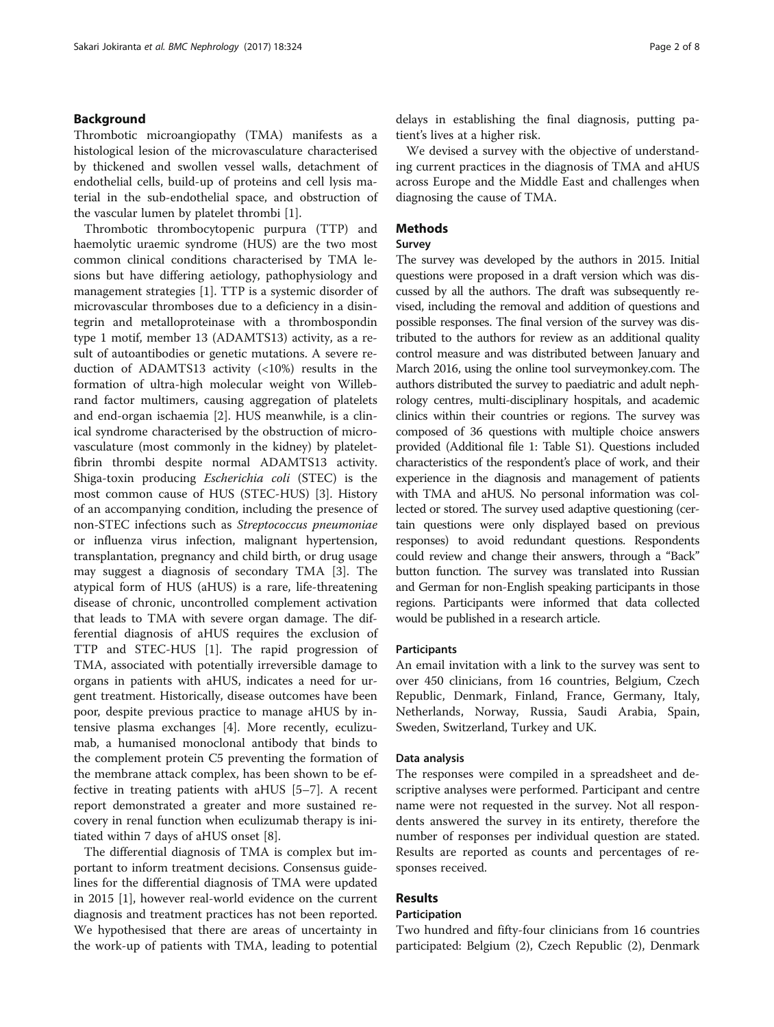# Background

Thrombotic microangiopathy (TMA) manifests as a histological lesion of the microvasculature characterised by thickened and swollen vessel walls, detachment of endothelial cells, build-up of proteins and cell lysis material in the sub-endothelial space, and obstruction of the vascular lumen by platelet thrombi [1].

Thrombotic thrombocytopenic purpura (TTP) and haemolytic uraemic syndrome (HUS) are the two most common clinical conditions characterised by TMA lesions but have differing aetiology, pathophysiology and management strategies [1]. TTP is a systemic disorder of microvascular thromboses due to a deficiency in a disintegrin and metalloproteinase with a thrombospondin type 1 motif, member 13 (ADAMTS13) activity, as a result of autoantibodies or genetic mutations. A severe reduction of ADAMTS13 activity (<10%) results in the formation of ultra-high molecular weight von Willebrand factor multimers, causing aggregation of platelets and end-organ ischaemia [2]. HUS meanwhile, is a clinical syndrome characterised by the obstruction of microvasculature (most commonly in the kidney) by plateletfibrin thrombi despite normal ADAMTS13 activity. Shiga-toxin producing Escherichia coli (STEC) is the most common cause of HUS (STEC-HUS) [3]. History of an accompanying condition, including the presence of non-STEC infections such as Streptococcus pneumoniae or influenza virus infection, malignant hypertension, transplantation, pregnancy and child birth, or drug usage may suggest a diagnosis of secondary TMA [3]. The atypical form of HUS (aHUS) is a rare, life-threatening disease of chronic, uncontrolled complement activation that leads to TMA with severe organ damage. The differential diagnosis of aHUS requires the exclusion of TTP and STEC-HUS [1]. The rapid progression of TMA, associated with potentially irreversible damage to organs in patients with aHUS, indicates a need for urgent treatment. Historically, disease outcomes have been poor, despite previous practice to manage aHUS by intensive plasma exchanges [4]. More recently, eculizumab, a humanised monoclonal antibody that binds to the complement protein C5 preventing the formation of the membrane attack complex, has been shown to be effective in treating patients with aHUS [5–7]. A recent report demonstrated a greater and more sustained recovery in renal function when eculizumab therapy is initiated within 7 days of aHUS onset [8].

The differential diagnosis of TMA is complex but important to inform treatment decisions. Consensus guidelines for the differential diagnosis of TMA were updated in 2015 [1], however real-world evidence on the current diagnosis and treatment practices has not been reported. We hypothesised that there are areas of uncertainty in the work-up of patients with TMA, leading to potential delays in establishing the final diagnosis, putting patient's lives at a higher risk.

We devised a survey with the objective of understanding current practices in the diagnosis of TMA and aHUS across Europe and the Middle East and challenges when diagnosing the cause of TMA.

# Methods

# Survey

The survey was developed by the authors in 2015. Initial questions were proposed in a draft version which was discussed by all the authors. The draft was subsequently revised, including the removal and addition of questions and possible responses. The final version of the survey was distributed to the authors for review as an additional quality control measure and was distributed between January and March 2016, using the online tool [surveymonkey.com.](http://surveymonkey.com) The authors distributed the survey to paediatric and adult nephrology centres, multi-disciplinary hospitals, and academic clinics within their countries or regions. The survey was composed of 36 questions with multiple choice answers provided (Additional file 1: Table S1). Questions included characteristics of the respondent's place of work, and their experience in the diagnosis and management of patients with TMA and aHUS. No personal information was collected or stored. The survey used adaptive questioning (certain questions were only displayed based on previous responses) to avoid redundant questions. Respondents could review and change their answers, through a "Back" button function. The survey was translated into Russian and German for non-English speaking participants in those regions. Participants were informed that data collected would be published in a research article.

## **Participants**

An email invitation with a link to the survey was sent to over 450 clinicians, from 16 countries, Belgium, Czech Republic, Denmark, Finland, France, Germany, Italy, Netherlands, Norway, Russia, Saudi Arabia, Spain, Sweden, Switzerland, Turkey and UK.

#### Data analysis

The responses were compiled in a spreadsheet and descriptive analyses were performed. Participant and centre name were not requested in the survey. Not all respondents answered the survey in its entirety, therefore the number of responses per individual question are stated. Results are reported as counts and percentages of responses received.

# Results

## Participation

Two hundred and fifty-four clinicians from 16 countries participated: Belgium (2), Czech Republic (2), Denmark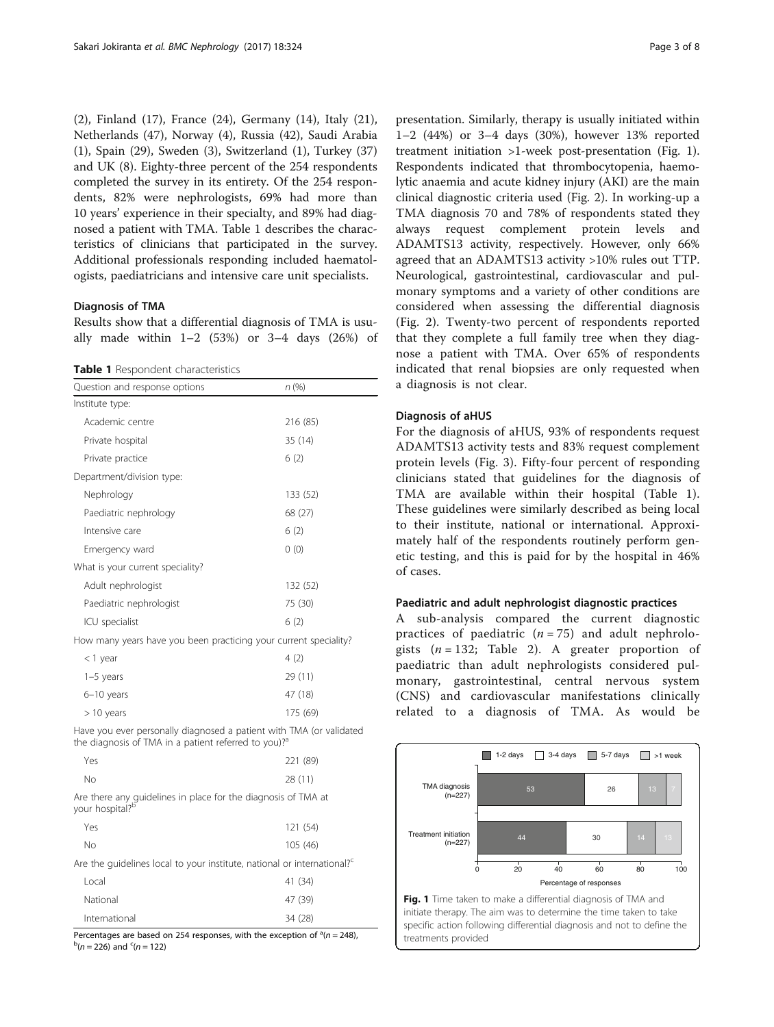(2), Finland (17), France (24), Germany (14), Italy (21), Netherlands (47), Norway (4), Russia (42), Saudi Arabia (1), Spain (29), Sweden (3), Switzerland (1), Turkey (37) and UK (8). Eighty-three percent of the 254 respondents completed the survey in its entirety. Of the 254 respondents, 82% were nephrologists, 69% had more than 10 years' experience in their specialty, and 89% had diagnosed a patient with TMA. Table 1 describes the characteristics of clinicians that participated in the survey. Additional professionals responding included haematologists, paediatricians and intensive care unit specialists.

## Diagnosis of TMA

Results show that a differential diagnosis of TMA is usually made within  $1-2$  (53%) or  $3-4$  days (26%) of

Table 1 Respondent characteristics

| Question and response options                                    | n(%)     |  |
|------------------------------------------------------------------|----------|--|
| Institute type:                                                  |          |  |
| Academic centre                                                  | 216 (85) |  |
| Private hospital                                                 | 35 (14)  |  |
| Private practice                                                 | 6(2)     |  |
| Department/division type:                                        |          |  |
| Nephrology                                                       | 133 (52) |  |
| Paediatric nephrology                                            | 68 (27)  |  |
| Intensive care                                                   | 6(2)     |  |
| Emergency ward                                                   | 0(0)     |  |
| What is your current speciality?                                 |          |  |
| Adult nephrologist                                               | 132 (52) |  |
| Paediatric nephrologist                                          | 75 (30)  |  |
| ICU specialist                                                   | 6(2)     |  |
| How many years have you been practicing your current speciality? |          |  |
| $<$ 1 year                                                       | 4(2)     |  |
| $1-5$ years                                                      | 29 (11)  |  |
| 6-10 years                                                       | 47 (18)  |  |
| $>10$ years                                                      | 175 (69) |  |

Have you ever personally diagnosed a patient with TMA (or validated the diagnosis of TMA in a patient referred to you)?<sup>a</sup>

| Yes | 221 (89) |
|-----|----------|
| No. | 28 (11)  |

Are there any guidelines in place for the diagnosis of TMA at your hospital?

| Yes                                                                    | 121(54) |
|------------------------------------------------------------------------|---------|
| Nο                                                                     | 105(46) |
| Are the quidelines local to your institute, national or international? |         |
| Local                                                                  | 41 (34) |
| National                                                               | 47 (39) |
| International                                                          | 34 (28) |

Percentages are based on 254 responses, with the exception of  $\frac{a}{n}$  (n = 248),  $\frac{b}{n}$  $(n = 226)$  and <sup>c</sup> $(n = 122)$ 

presentation. Similarly, therapy is usually initiated within 1–2 (44%) or 3–4 days (30%), however 13% reported treatment initiation >1-week post-presentation (Fig. 1). Respondents indicated that thrombocytopenia, haemolytic anaemia and acute kidney injury (AKI) are the main clinical diagnostic criteria used (Fig. 2). In working-up a TMA diagnosis 70 and 78% of respondents stated they always request complement protein levels and ADAMTS13 activity, respectively. However, only 66% agreed that an ADAMTS13 activity >10% rules out TTP. Neurological, gastrointestinal, cardiovascular and pulmonary symptoms and a variety of other conditions are considered when assessing the differential diagnosis (Fig. 2). Twenty-two percent of respondents reported that they complete a full family tree when they diagnose a patient with TMA. Over 65% of respondents indicated that renal biopsies are only requested when a diagnosis is not clear.

# Diagnosis of aHUS

For the diagnosis of aHUS, 93% of respondents request ADAMTS13 activity tests and 83% request complement protein levels (Fig. 3). Fifty-four percent of responding clinicians stated that guidelines for the diagnosis of TMA are available within their hospital (Table 1). These guidelines were similarly described as being local to their institute, national or international. Approximately half of the respondents routinely perform genetic testing, and this is paid for by the hospital in 46% of cases.

# Paediatric and adult nephrologist diagnostic practices

A sub-analysis compared the current diagnostic practices of paediatric  $(n = 75)$  and adult nephrologists  $(n = 132;$  Table 2). A greater proportion of paediatric than adult nephrologists considered pulmonary, gastrointestinal, central nervous system (CNS) and cardiovascular manifestations clinically related to a diagnosis of TMA. As would be



initiate therapy. The aim was to determine the time taken to take specific action following differential diagnosis and not to define the treatments provided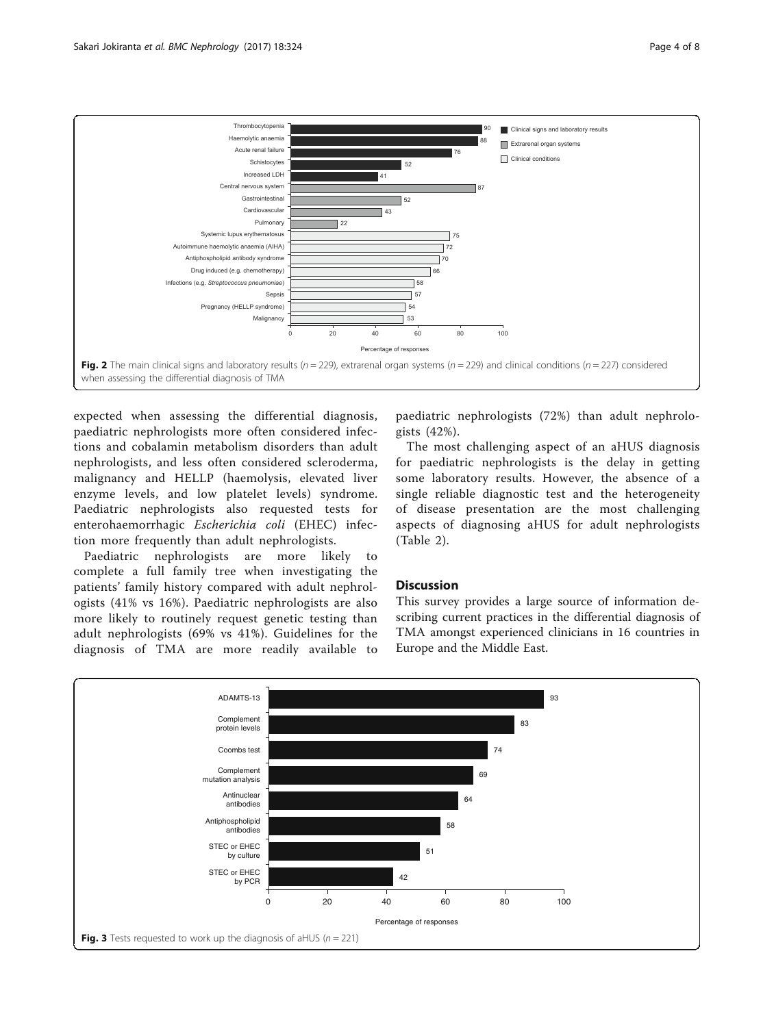

expected when assessing the differential diagnosis, paediatric nephrologists more often considered infections and cobalamin metabolism disorders than adult nephrologists, and less often considered scleroderma, malignancy and HELLP (haemolysis, elevated liver enzyme levels, and low platelet levels) syndrome. Paediatric nephrologists also requested tests for enterohaemorrhagic Escherichia coli (EHEC) infection more frequently than adult nephrologists.

Paediatric nephrologists are more likely to complete a full family tree when investigating the patients' family history compared with adult nephrologists (41% vs 16%). Paediatric nephrologists are also more likely to routinely request genetic testing than adult nephrologists (69% vs 41%). Guidelines for the diagnosis of TMA are more readily available to

paediatric nephrologists (72%) than adult nephrologists (42%).

The most challenging aspect of an aHUS diagnosis for paediatric nephrologists is the delay in getting some laboratory results. However, the absence of a single reliable diagnostic test and the heterogeneity of disease presentation are the most challenging aspects of diagnosing aHUS for adult nephrologists (Table 2).

# **Discussion**

This survey provides a large source of information describing current practices in the differential diagnosis of TMA amongst experienced clinicians in 16 countries in Europe and the Middle East.

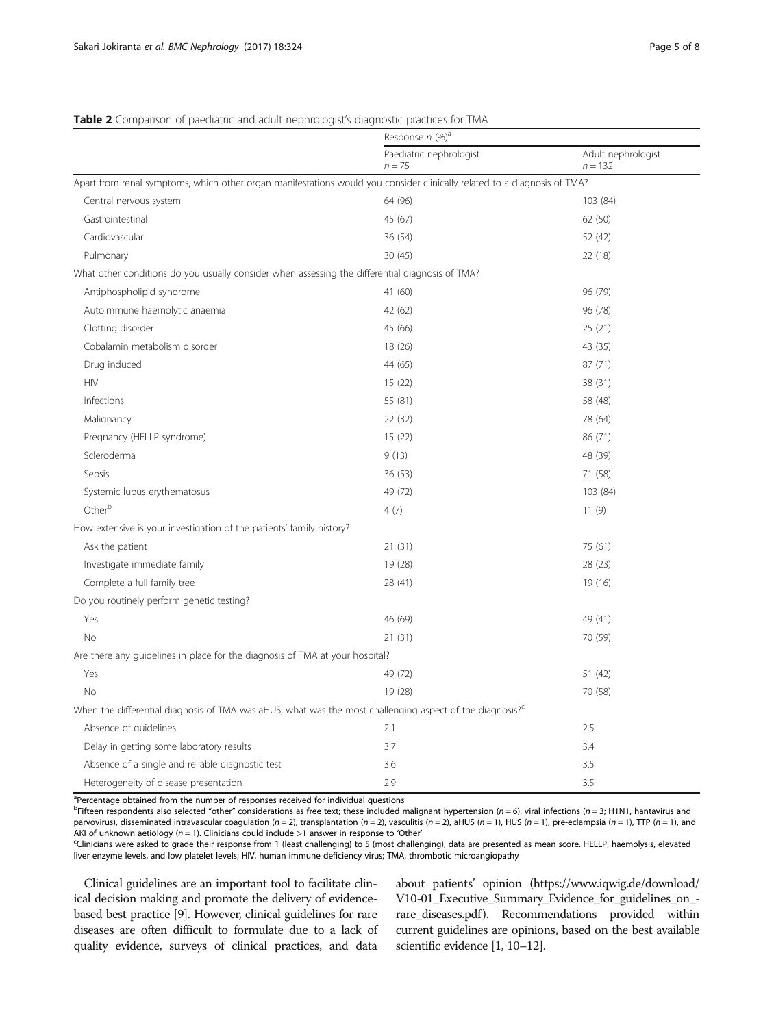|                                                                                                                          | Response $n$ (%) <sup>a</sup>       |                                 |
|--------------------------------------------------------------------------------------------------------------------------|-------------------------------------|---------------------------------|
|                                                                                                                          | Paediatric nephrologist<br>$n = 75$ | Adult nephrologist<br>$n = 132$ |
| Apart from renal symptoms, which other organ manifestations would you consider clinically related to a diagnosis of TMA? |                                     |                                 |
| Central nervous system                                                                                                   | 64 (96)                             | 103 (84)                        |
| Gastrointestinal                                                                                                         | 45 (67)                             | 62 (50)                         |
| Cardiovascular                                                                                                           | 36 (54)                             | 52 (42)                         |
| Pulmonary                                                                                                                | 30(45)                              | 22 (18)                         |
| What other conditions do you usually consider when assessing the differential diagnosis of TMA?                          |                                     |                                 |
| Antiphospholipid syndrome                                                                                                | 41 (60)                             | 96 (79)                         |
| Autoimmune haemolytic anaemia                                                                                            | 42 (62)                             | 96 (78)                         |
| Clotting disorder                                                                                                        | 45 (66)                             | 25(21)                          |
| Cobalamin metabolism disorder                                                                                            | 18 (26)                             | 43 (35)                         |
| Drug induced                                                                                                             | 44 (65)                             | 87 (71)                         |
| <b>HIV</b>                                                                                                               | 15(22)                              | 38 (31)                         |
| Infections                                                                                                               | 55 (81)                             | 58 (48)                         |
| Malignancy                                                                                                               | 22 (32)                             | 78 (64)                         |
| Pregnancy (HELLP syndrome)                                                                                               | 15 (22)                             | 86 (71)                         |
| Scleroderma                                                                                                              | 9(13)                               | 48 (39)                         |
| Sepsis                                                                                                                   | 36 (53)                             | 71 (58)                         |
| Systemic lupus erythematosus                                                                                             | 49 (72)                             | 103 (84)                        |
| Other <sup>b</sup>                                                                                                       | 4(7)                                | 11(9)                           |
| How extensive is your investigation of the patients' family history?                                                     |                                     |                                 |
| Ask the patient                                                                                                          | 21(31)                              | 75 (61)                         |
| Investigate immediate family                                                                                             | 19 (28)                             | 28 (23)                         |
| Complete a full family tree                                                                                              | 28 (41)                             | 19 (16)                         |
| Do you routinely perform genetic testing?                                                                                |                                     |                                 |
| Yes                                                                                                                      | 46 (69)                             | 49 (41)                         |
| No                                                                                                                       | 21(31)                              | 70 (59)                         |
| Are there any guidelines in place for the diagnosis of TMA at your hospital?                                             |                                     |                                 |
| Yes                                                                                                                      | 49 (72)                             | 51 (42)                         |
| No                                                                                                                       | 19 (28)                             | 70 (58)                         |
| When the differential diagnosis of TMA was aHUS, what was the most challenging aspect of the diagnosis? <sup>c</sup>     |                                     |                                 |
| Absence of guidelines                                                                                                    | 2.1                                 | 2.5                             |
| Delay in getting some laboratory results                                                                                 | 3.7                                 | 3.4                             |
| Absence of a single and reliable diagnostic test                                                                         | 3.6                                 | 3.5                             |
| Heterogeneity of disease presentation                                                                                    | 29                                  | 35                              |

# Table 2 Comparison of paediatric and adult nephrologist's diagnostic practices for TMA

<sup>a</sup>Percentage obtained from the number of responses received for individual questions

 $b^b$  Fifteen respondents also selected "other" considerations as free text; these included malignant hypertension (n = 6), viral infections (n = 3; H1N1, hantavirus and  $b^c$  = 1) and  $c^c$  = 1) and  $c^c$  = 1) and  $c^c$  parvovirus), disseminated intravascular coagulation (n = 2), transplantation (n = 2), vasculitis (n = 2), aHUS (n = 1), HUS (n = 1), pre-eclampsia (n = 1), TTP (n = 1), and AKI of unknown aetiology ( $n = 1$ ). Clinicians could include >1 answer in response to 'Other'

Clinicians were asked to grade their response from 1 (least challenging) to 5 (most challenging), data are presented as mean score. HELLP, haemolysis, elevated liver enzyme levels, and low platelet levels; HIV, human immune deficiency virus; TMA, thrombotic microangiopathy

Clinical guidelines are an important tool to facilitate clinical decision making and promote the delivery of evidencebased best practice [9]. However, clinical guidelines for rare diseases are often difficult to formulate due to a lack of quality evidence, surveys of clinical practices, and data

about patients' opinion ([https://www.iqwig.de/download/](https://www.iqwig.de/download/V10-01_Executive_Summary_Evidence_for_guidelines_on_rare_diseases.pdf) [V10-01\\_Executive\\_Summary\\_Evidence\\_for\\_guidelines\\_on\\_](https://www.iqwig.de/download/V10-01_Executive_Summary_Evidence_for_guidelines_on_rare_diseases.pdf) [rare\\_diseases.pdf](https://www.iqwig.de/download/V10-01_Executive_Summary_Evidence_for_guidelines_on_rare_diseases.pdf)). Recommendations provided within current guidelines are opinions, based on the best available scientific evidence [1, 10–12].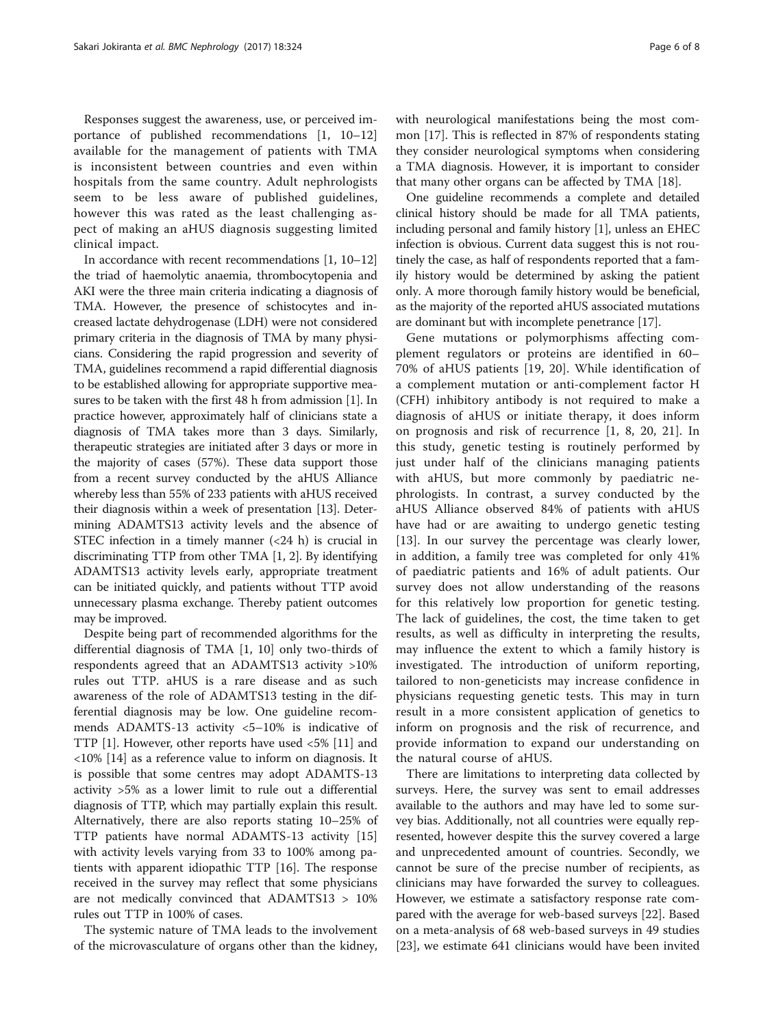Responses suggest the awareness, use, or perceived importance of published recommendations [1, 10–12] available for the management of patients with TMA is inconsistent between countries and even within hospitals from the same country. Adult nephrologists seem to be less aware of published guidelines, however this was rated as the least challenging aspect of making an aHUS diagnosis suggesting limited clinical impact.

In accordance with recent recommendations [1, 10–12] the triad of haemolytic anaemia, thrombocytopenia and AKI were the three main criteria indicating a diagnosis of TMA. However, the presence of schistocytes and increased lactate dehydrogenase (LDH) were not considered primary criteria in the diagnosis of TMA by many physicians. Considering the rapid progression and severity of TMA, guidelines recommend a rapid differential diagnosis to be established allowing for appropriate supportive measures to be taken with the first 48 h from admission [1]. In practice however, approximately half of clinicians state a diagnosis of TMA takes more than 3 days. Similarly, therapeutic strategies are initiated after 3 days or more in the majority of cases (57%). These data support those from a recent survey conducted by the aHUS Alliance whereby less than 55% of 233 patients with aHUS received their diagnosis within a week of presentation [13]. Determining ADAMTS13 activity levels and the absence of STEC infection in a timely manner  $( $24$  h) is crucial in$ discriminating TTP from other TMA [1, 2]. By identifying ADAMTS13 activity levels early, appropriate treatment can be initiated quickly, and patients without TTP avoid unnecessary plasma exchange. Thereby patient outcomes may be improved.

Despite being part of recommended algorithms for the differential diagnosis of TMA [1, 10] only two-thirds of respondents agreed that an ADAMTS13 activity >10% rules out TTP. aHUS is a rare disease and as such awareness of the role of ADAMTS13 testing in the differential diagnosis may be low. One guideline recommends ADAMTS-13 activity <5–10% is indicative of TTP [1]. However, other reports have used <5% [11] and <10% [14] as a reference value to inform on diagnosis. It is possible that some centres may adopt ADAMTS-13 activity >5% as a lower limit to rule out a differential diagnosis of TTP, which may partially explain this result. Alternatively, there are also reports stating 10–25% of TTP patients have normal ADAMTS-13 activity [15] with activity levels varying from 33 to 100% among patients with apparent idiopathic TTP [16]. The response received in the survey may reflect that some physicians are not medically convinced that ADAMTS13 > 10% rules out TTP in 100% of cases.

The systemic nature of TMA leads to the involvement of the microvasculature of organs other than the kidney, with neurological manifestations being the most common [17]. This is reflected in 87% of respondents stating they consider neurological symptoms when considering a TMA diagnosis. However, it is important to consider that many other organs can be affected by TMA [18].

One guideline recommends a complete and detailed clinical history should be made for all TMA patients, including personal and family history [1], unless an EHEC infection is obvious. Current data suggest this is not routinely the case, as half of respondents reported that a family history would be determined by asking the patient only. A more thorough family history would be beneficial, as the majority of the reported aHUS associated mutations are dominant but with incomplete penetrance [17].

Gene mutations or polymorphisms affecting complement regulators or proteins are identified in 60– 70% of aHUS patients [19, 20]. While identification of a complement mutation or anti-complement factor H (CFH) inhibitory antibody is not required to make a diagnosis of aHUS or initiate therapy, it does inform on prognosis and risk of recurrence [1, 8, 20, 21]. In this study, genetic testing is routinely performed by just under half of the clinicians managing patients with aHUS, but more commonly by paediatric nephrologists. In contrast, a survey conducted by the aHUS Alliance observed 84% of patients with aHUS have had or are awaiting to undergo genetic testing [13]. In our survey the percentage was clearly lower, in addition, a family tree was completed for only 41% of paediatric patients and 16% of adult patients. Our survey does not allow understanding of the reasons for this relatively low proportion for genetic testing. The lack of guidelines, the cost, the time taken to get results, as well as difficulty in interpreting the results, may influence the extent to which a family history is investigated. The introduction of uniform reporting, tailored to non-geneticists may increase confidence in physicians requesting genetic tests. This may in turn result in a more consistent application of genetics to inform on prognosis and the risk of recurrence, and provide information to expand our understanding on the natural course of aHUS.

There are limitations to interpreting data collected by surveys. Here, the survey was sent to email addresses available to the authors and may have led to some survey bias. Additionally, not all countries were equally represented, however despite this the survey covered a large and unprecedented amount of countries. Secondly, we cannot be sure of the precise number of recipients, as clinicians may have forwarded the survey to colleagues. However, we estimate a satisfactory response rate compared with the average for web-based surveys [22]. Based on a meta-analysis of 68 web-based surveys in 49 studies [23], we estimate 641 clinicians would have been invited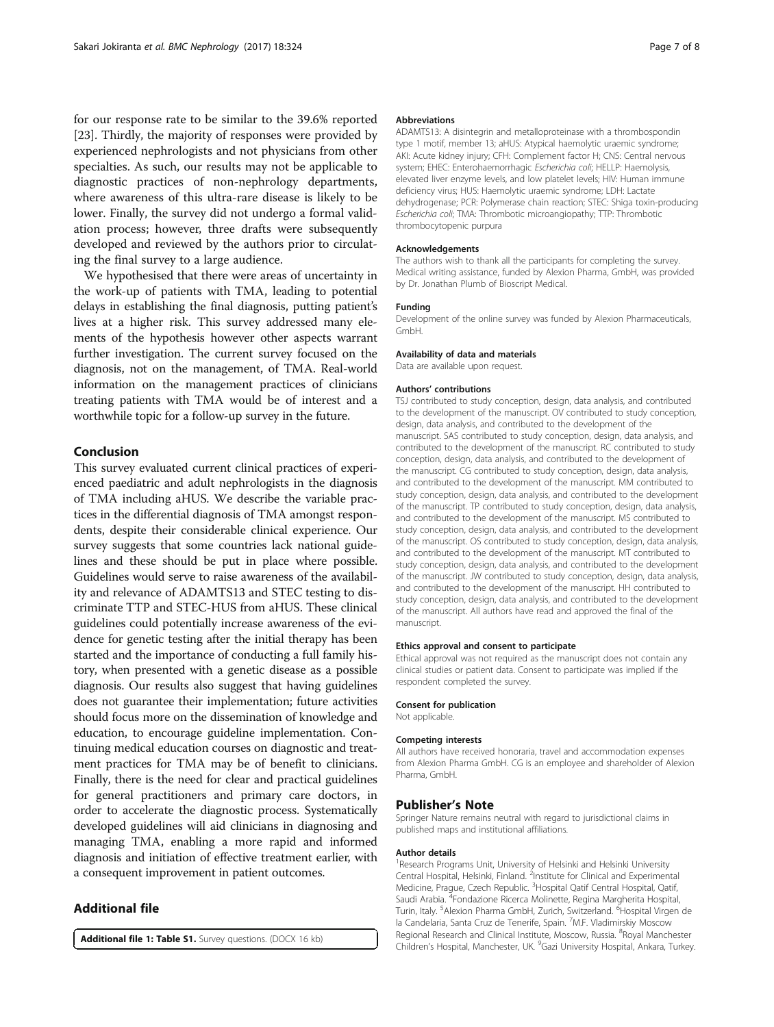for our response rate to be similar to the 39.6% reported [23]. Thirdly, the majority of responses were provided by experienced nephrologists and not physicians from other specialties. As such, our results may not be applicable to diagnostic practices of non-nephrology departments, where awareness of this ultra-rare disease is likely to be lower. Finally, the survey did not undergo a formal validation process; however, three drafts were subsequently developed and reviewed by the authors prior to circulating the final survey to a large audience.

We hypothesised that there were areas of uncertainty in the work-up of patients with TMA, leading to potential delays in establishing the final diagnosis, putting patient's lives at a higher risk. This survey addressed many elements of the hypothesis however other aspects warrant further investigation. The current survey focused on the diagnosis, not on the management, of TMA. Real-world information on the management practices of clinicians treating patients with TMA would be of interest and a worthwhile topic for a follow-up survey in the future.

# Conclusion

This survey evaluated current clinical practices of experienced paediatric and adult nephrologists in the diagnosis of TMA including aHUS. We describe the variable practices in the differential diagnosis of TMA amongst respondents, despite their considerable clinical experience. Our survey suggests that some countries lack national guidelines and these should be put in place where possible. Guidelines would serve to raise awareness of the availability and relevance of ADAMTS13 and STEC testing to discriminate TTP and STEC-HUS from aHUS. These clinical guidelines could potentially increase awareness of the evidence for genetic testing after the initial therapy has been started and the importance of conducting a full family history, when presented with a genetic disease as a possible diagnosis. Our results also suggest that having guidelines does not guarantee their implementation; future activities should focus more on the dissemination of knowledge and education, to encourage guideline implementation. Continuing medical education courses on diagnostic and treatment practices for TMA may be of benefit to clinicians. Finally, there is the need for clear and practical guidelines for general practitioners and primary care doctors, in order to accelerate the diagnostic process. Systematically developed guidelines will aid clinicians in diagnosing and managing TMA, enabling a more rapid and informed diagnosis and initiation of effective treatment earlier, with a consequent improvement in patient outcomes.

# Additional file

[Additional file 1: Table S1.](dx.doi.org/10.1186/s12882-017-0727-y) Survey questions. (DOCX 16 kb)

# Abbreviations

ADAMTS13: A disintegrin and metalloproteinase with a thrombospondin type 1 motif, member 13; aHUS: Atypical haemolytic uraemic syndrome; AKI: Acute kidney injury; CFH: Complement factor H; CNS: Central nervous system; EHEC: Enterohaemorrhagic Escherichia coli; HELLP: Haemolysis, elevated liver enzyme levels, and low platelet levels; HIV: Human immune deficiency virus; HUS: Haemolytic uraemic syndrome; LDH: Lactate dehydrogenase; PCR: Polymerase chain reaction; STEC: Shiga toxin-producing Escherichia coli; TMA: Thrombotic microangiopathy; TTP: Thrombotic thrombocytopenic purpura

#### Acknowledgements

The authors wish to thank all the participants for completing the survey. Medical writing assistance, funded by Alexion Pharma, GmbH, was provided by Dr. Jonathan Plumb of Bioscript Medical.

#### Funding

Development of the online survey was funded by Alexion Pharmaceuticals, GmbH.

#### Availability of data and materials

Data are available upon request.

#### Authors' contributions

TSJ contributed to study conception, design, data analysis, and contributed to the development of the manuscript. OV contributed to study conception, design, data analysis, and contributed to the development of the manuscript. SAS contributed to study conception, design, data analysis, and contributed to the development of the manuscript. RC contributed to study conception, design, data analysis, and contributed to the development of the manuscript. CG contributed to study conception, design, data analysis, and contributed to the development of the manuscript. MM contributed to study conception, design, data analysis, and contributed to the development of the manuscript. TP contributed to study conception, design, data analysis, and contributed to the development of the manuscript. MS contributed to study conception, design, data analysis, and contributed to the development of the manuscript. OS contributed to study conception, design, data analysis, and contributed to the development of the manuscript. MT contributed to study conception, design, data analysis, and contributed to the development of the manuscript. JW contributed to study conception, design, data analysis, and contributed to the development of the manuscript. HH contributed to study conception, design, data analysis, and contributed to the development of the manuscript. All authors have read and approved the final of the manuscript.

#### Ethics approval and consent to participate

Ethical approval was not required as the manuscript does not contain any clinical studies or patient data. Consent to participate was implied if the respondent completed the survey.

#### Consent for publication

Not applicable.

#### Competing interests

All authors have received honoraria, travel and accommodation expenses from Alexion Pharma GmbH. CG is an employee and shareholder of Alexion Pharma, GmbH.

# Publisher's Note

Springer Nature remains neutral with regard to jurisdictional claims in published maps and institutional affiliations.

#### Author details

<sup>1</sup> Research Programs Unit, University of Helsinki and Helsinki University Central Hospital, Helsinki, Finland. <sup>2</sup>Institute for Clinical and Experimental<br>Medicine, Prague, Czech Republic. <sup>3</sup>Hospital Qatif Central Hospital, Qatif, Saudi Arabia. <sup>4</sup>Fondazione Ricerca Molinette, Regina Margherita Hospital Turin, Italy. <sup>5</sup>Alexion Pharma GmbH, Zurich, Switzerland. <sup>6</sup>Hospital Virgen de la Candelaria, Santa Cruz de Tenerife, Spain. <sup>7</sup>M.F. Vladimirskiy Moscow Regional Research and Clinical Institute, Moscow, Russia. <sup>8</sup>Royal Manchester Children's Hospital, Manchester, UK. <sup>9</sup>Gazi University Hospital, Ankara, Turkey.